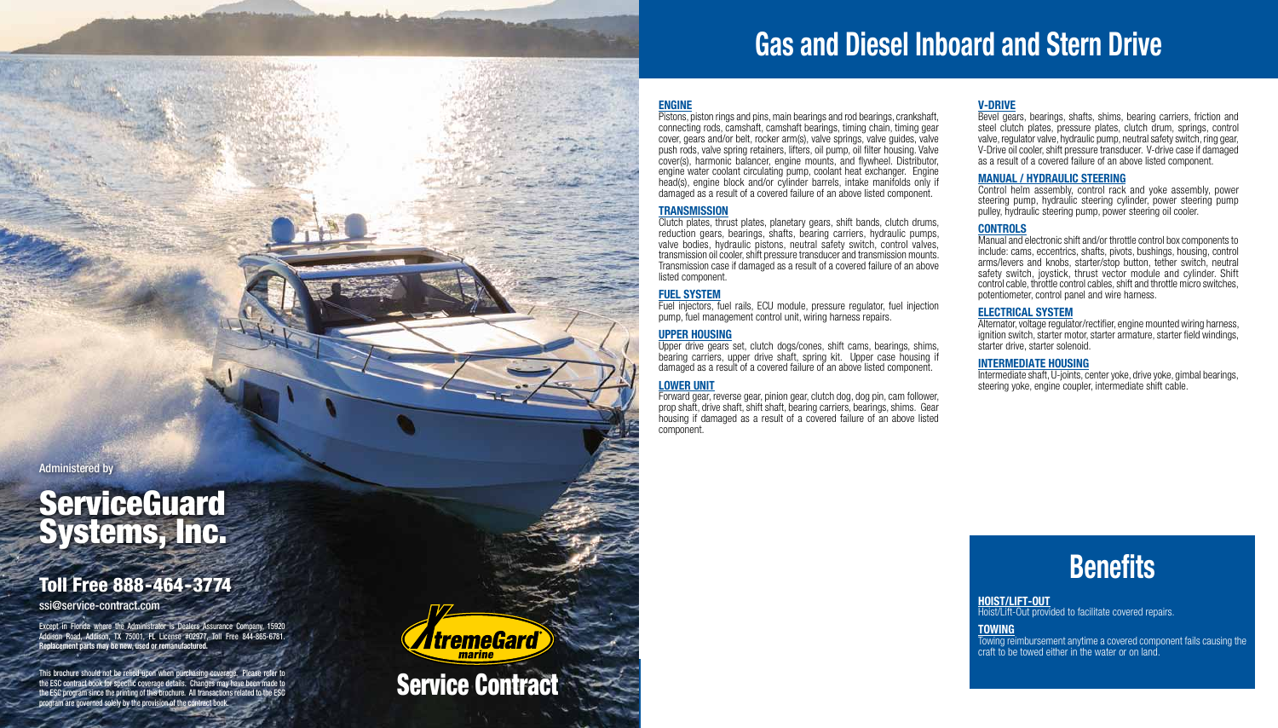# **Gas and Diesel Inboard and Stern Drive**

#### **ENGINE**

Pistons, piston rings and pins, main bearings and rod bearings, crankshaft, connecting rods, camshaft, camshaft bearings, timing chain, timing gear cover, gears and/or belt, rocker arm(s), valve springs, valve guides, valve push rods, valve spring retainers, lifters, oil pump, oil filter housing. Valve cover(s), harmonic balancer, engine mounts, and flywheel. Distributor, engine water coolant circulating pump, coolant heat exchanger. Engine head(s), engine block and/or cylinder barrels, intake manifolds only if damaged as a result of a covered failure of an above listed component.

#### **TRANSMISSION**

Clutch plates, thrust plates, planetary gears, shift bands, clutch drums, reduction gears, bearings, shafts, bearing carriers, hydraulic pumps, valve bodies, hydraulic pistons, neutral safety switch, control valves, transmission oil cooler, shift pressure transducer and transmission mounts. Transmission case if damaged as a result of a covered failure of an above listed component.

#### **FUEL SYSTEM**

Fuel injectors, fuel rails, ECU module, pressure regulator, fuel injection pump, fuel management control unit, wiring harness repairs.

#### **Upper HOUSING**

Upper drive gears set, clutch dogs/cones, shift cams, bearings, shims, bearing carriers, upper drive shaft, spring kit. Upper case housing if damaged as a result of a covered failure of an above listed component.

#### **Lower Unit**

Towing reimbursement anytime a covered component fails causing the craft to be towed either in the water or on land.

Forward gear, reverse gear, pinion gear, clutch dog, dog pin, cam follower, prop shaft, drive shaft, shift shaft, bearing carriers, bearings, shims. Gear housing if damaged as a result of a covered failure of an above listed component.

#### **V-DRIVE**

# **ServiceGuard** Systems, Inc.

Bevel gears, bearings, shafts, shims, bearing carriers, friction and steel clutch plates, pressure plates, clutch drum, springs, control valve, regulator valve, hydraulic pump, neutral safety switch, ring gear, V-Drive oil cooler, shift pressure transducer. V-drive case if damaged as a result of a covered failure of an above listed component.

#### **Manual / Hydraulic Steering**

Control helm assembly, control rack and yoke assembly, power steering pump, hydraulic steering cylinder, power steering pump pulley, hydraulic steering pump, power steering oil cooler.

#### **CONTROLS**

Manual and electronic shift and/or throttle control box components to include: cams, eccentrics, shafts, pivots, bushings, housing, control arms/levers and knobs, starter/stop button, tether switch, neutral safety switch, joystick, thrust vector module and cylinder. Shift control cable, throttle control cables, shift and throttle micro switches, potentiometer, control panel and wire harness.

#### **ELECTRICAL System**

Alternator, voltage regulator/rectifier, engine mounted wiring harness, ignition switch, starter motor, starter armature, starter field windings, starter drive, starter solenoid.

#### **INTERMEDIATE HOUSING**

Intermediate shaft, U-joints, center yoke, drive yoke, gimbal bearings, steering yoke, engine coupler, intermediate shift cable.

### **Benefits**

#### **HOIST/Lift-OUT**

Hoist/Lift-Out provided to facilitate covered repairs.

#### **TOWING**

### Toll Free 888-464-3774

ssi@service-contract.com

Except in Florida where the Administrator is Dealers Assurance Company, 15920 Addison Road, Addison, TX 75001, FL License #02977, Toll Free 844-865-6781. **Replacement parts may be new, used or remanufactured.** 

This brochure should not be relied upon when purchasing coverage. Please refer to<br>the ESC contract book for specific coverage details. Changes may have been made to<br>the ESC program since the printing of this brochure. All the ESC contract book for specific coverage details. Changes may have been made to the ESC program since the printing of this brochure. All transactions related to the ESC program are governed solely by the provision of the contract b

*<u>ItremeGard</u>*